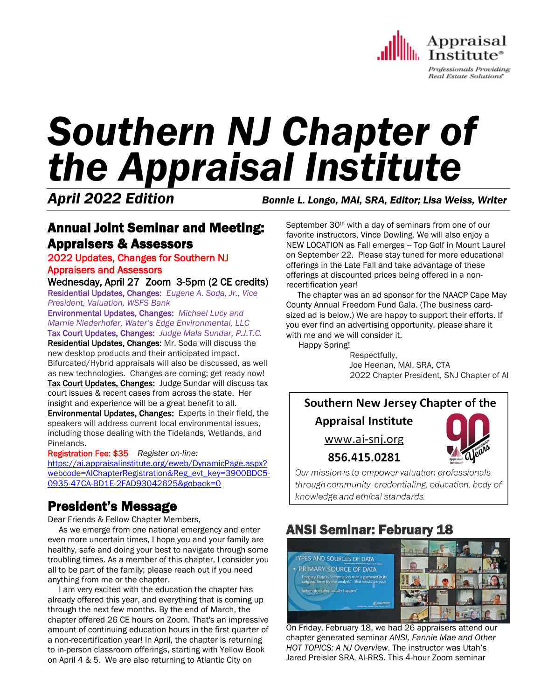

Professionals Providing Real Estate Solutions

# *Southern NJ Chapter of the Appraisal Institute*

*April 2022 Edition Bonnie L. Longo, MAI, SRA, Editor; Lisa Weiss, Writer*

#### Annual Joint Seminar and Meeting: Appraisers & Assessors

#### 2022 Updates, Changes for Southern NJ

#### Appraisers and Assessors

Wednesday, April 27 Zoom 3-5pm (2 CE credits) Residential Updates, Changes: *Eugene A. Soda, Jr., Vice President, Valuation, WSFS Bank*

Environmental Updates, Changes: *Michael Lucy and Marnie Niederhofer, Water's Edge Environmental, LLC*

Tax Court Updates, Changes: *Judge Mala Sundar, P.J.T.C.* Residential Updates, Changes: Mr. Soda will discuss the new desktop products and their anticipated impact. Bifurcated/Hybrid appraisals will also be discussed, as well as new technologies. Changes are coming; get ready now!

Tax Court Updates, Changes: Judge Sundar will discuss tax court issues & recent cases from across the state. Her insight and experience will be a great benefit to all. **Environmental Updates, Changes:** Experts in their field, the

speakers will address current local environmental issues, including those dealing with the Tidelands, Wetlands, and Pinelands.

Registration Fee: \$35 *Register on-line:*  [https://ai.appraisalinstitute.org/eweb/DynamicPage.aspx?](https://ai.appraisalinstitute.org/eweb/DynamicPage.aspx?webcode=AIChapterRegistration&Reg_evt_key=3900BDC5-0935-47CA-BD1E-2FAD93042625&goback=0) [webcode=AIChapterRegistration&Reg\\_evt\\_key=3900BDC5-](https://ai.appraisalinstitute.org/eweb/DynamicPage.aspx?webcode=AIChapterRegistration&Reg_evt_key=3900BDC5-0935-47CA-BD1E-2FAD93042625&goback=0) [0935-47CA-BD1E-2FAD93042625&goback=0](https://ai.appraisalinstitute.org/eweb/DynamicPage.aspx?webcode=AIChapterRegistration&Reg_evt_key=3900BDC5-0935-47CA-BD1E-2FAD93042625&goback=0)

# President's Message

Dear Friends & Fellow Chapter Members,

 As we emerge from one national emergency and enter even more uncertain times, I hope you and your family are healthy, safe and doing your best to navigate through some troubling times. As a member of this chapter, I consider you all to be part of the family; please reach out if you need anything from me or the chapter.

 I am very excited with the education the chapter has already offered this year, and everything that is coming up through the next few months. By the end of March, the chapter offered 26 CE hours on Zoom. That's an impressive amount of continuing education hours in the first quarter of a non-recertification year! In April, the chapter is returning to in-person classroom offerings, starting with Yellow Book on April 4 & 5. We are also returning to Atlantic City on

September 30<sup>th</sup> with a day of seminars from one of our favorite instructors, Vince Dowling. We will also enjoy a NEW LOCATION as Fall emerges -- Top Golf in Mount Laurel on September 22. Please stay tuned for more educational offerings in the Late Fall and take advantage of these offerings at discounted prices being offered in a nonrecertification year!

 The chapter was an ad sponsor for the NAACP Cape May County Annual Freedom Fund Gala. (The business cardsized ad is below.) We are happy to support their efforts. If you ever find an advertising opportunity, please share it with me and we will consider it.

Happy Spring!

Respectfully, Joe Heenan, MAI, SRA, CTA 2022 Chapter President, SNJ Chapter of AI

Southern New Jersey Chapter of the

**Appraisal Institute** 

www.ai-snj.org



856.415.0281

Our mission is to empower valuation professionals through community, credentialing, education, body of knowledge and ethical standards.

# ANSI Seminar: February 18



On Friday, February 18, we had 26 appraisers attend our chapter generated seminar *ANSI, Fannie Mae and Other HOT TOPICS: A NJ Overview*. The instructor was Utah's Jared Preisler SRA, AI-RRS. This 4-hour Zoom seminar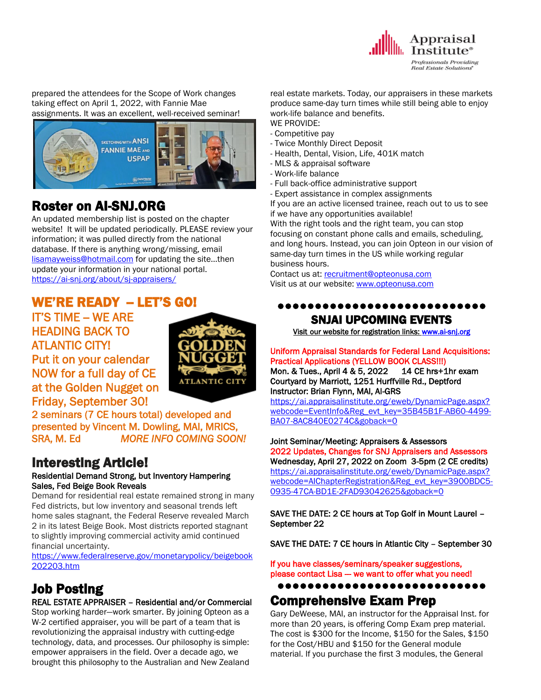

prepared the attendees for the Scope of Work changes taking effect on April 1, 2022, with Fannie Mae assignments. It was an excellent, well-received seminar!



### Roster on AI-SNJ.ORG

An updated membership list is posted on the chapter website! It will be updated periodically. PLEASE review your information; it was pulled directly from the national database. If there is anything wrong/missing, email [lisamayweiss@hotmail.com](mailto:lisamayweiss@hotmail.com)</u> for updating the site...then update your information in your national portal. <https://ai-snj.org/about/sj-appraisers/>

### WE'RE READY - LET'S GO!

**IT'S TIME -- WE ARE** HEADING BACK TO ATLANTIC CITY!

Put it on your calendar NOW for a full day of CE at the Golden Nugget on Friday, September 30!



2 seminars (7 CE hours total) developed and presented by Vincent M. Dowling, MAI, MRICS, SRA, M. Ed *MORE INFO COMING SOON!* 

# Interesting Article!

#### Residential Demand Strong, but Inventory Hampering Sales, Fed Beige Book Reveals

Demand for residential real estate remained strong in many Fed districts, but low inventory and seasonal trends left home sales stagnant, the Federal Reserve revealed March 2 in its latest Beige Book. Most districts reported stagnant to slightly improving commercial activity amid continued financial uncertainty.

[https://www.federalreserve.gov/monetarypolicy/beigebook](https://www.federalreserve.gov/monetarypolicy/beigebook202203.htm) [202203.htm](https://www.federalreserve.gov/monetarypolicy/beigebook202203.htm)

# Job Posting

#### REAL ESTATE APPRAISER – Residential and/or Commercial

Stop working harder—work smarter. By joining Opteon as a W-2 certified appraiser, you will be part of a team that is revolutionizing the appraisal industry with cutting-edge technology, data, and processes. Our philosophy is simple: empower appraisers in the field. Over a decade ago, we brought this philosophy to the Australian and New Zealand

real estate markets. Today, our appraisers in these markets produce same-day turn times while still being able to enjoy work-life balance and benefits. WE PROVIDE:

- Competitive pay
- Twice Monthly Direct Deposit
- Health, Dental, Vision, Life, 401K match
- MLS & appraisal software
- Work-life balance
- Full back-office administrative support
- Expert assistance in complex assignments

If you are an active licensed trainee, reach out to us to see if we have any opportunities available!

With the right tools and the right team, you can stop focusing on constant phone calls and emails, scheduling, and long hours. Instead, you can join Opteon in our vision of same-day turn times in the US while working regular business hours.

Contact us at: [recruitment@opteonusa.com](mailto:recruitment@opteonusa.com) Visit us at our website: [www.opteonusa.com](https://nam12.safelinks.protection.outlook.com/?url=http%3A%2F%2Fwww.opteonusa.com%2F&data=04%7C01%7C%7Ce5453215e64e48bfc35208da09077f27%7C84df9e7fe9f640afb435aaaaaaaaaaaa%7C1%7C0%7C637832225042648966%7CUnknown%7CTWFpbGZsb3d8eyJWIjoiMC4wLjAwMDAiLCJQIjoiV2luMzIiLCJBTiI6Ik1haWwiLCJXVCI6Mn0%3D%7C3000&sdata=CXolXHRW6hY1pIsXKPzX7Oq5DNMRBenFPmEwu%2FyehwU%3D&reserved=0)

#### ●●●●●●●●●●●●●●●●●●●●●●●●●●●● SNJAI UPCOMING EVENTS

[Visit](http://www.myappraisalinstitute.org/education/southernNewJersey) our website for registration links[: www.ai-snj.org](http://www.ai-snj.org/) 

Uniform Appraisal Standards for Federal Land Acquisitions: Practical Applications (YELLOW BOOK CLASS!!!) Mon. & Tues., April 4 & 5, 2022 14 CE hrs+1hr exam Courtyard by Marriott, 1251 Hurffville Rd., Deptford

Instructor: Brian Flynn, MAI, AI-GRS [https://ai.appraisalinstitute.org/eweb/DynamicPage.aspx?](https://ai.appraisalinstitute.org/eweb/DynamicPage.aspx?webcode=EventInfo&Reg_evt_key=35B45B1F-AB60-4499-BA07-8AC840E0274C&goback=0) [webcode=EventInfo&Reg\\_evt\\_key=35B45B1F-AB60-4499-](https://ai.appraisalinstitute.org/eweb/DynamicPage.aspx?webcode=EventInfo&Reg_evt_key=35B45B1F-AB60-4499-BA07-8AC840E0274C&goback=0) [BA07-8AC840E0274C&goback=0](https://ai.appraisalinstitute.org/eweb/DynamicPage.aspx?webcode=EventInfo&Reg_evt_key=35B45B1F-AB60-4499-BA07-8AC840E0274C&goback=0)

Joint Seminar/Meeting: Appraisers & Assessors 2022 Updates, Changes for SNJ Appraisers and Assessors Wednesday, April 27, 2022 on Zoom 3-5pm (2 CE credits) [https://ai.appraisalinstitute.org/eweb/DynamicPage.aspx?](https://ai.appraisalinstitute.org/eweb/DynamicPage.aspx?webcode=AIChapterRegistration&Reg_evt_key=3900BDC5-0935-47CA-BD1E-2FAD93042625&goback=0) [webcode=AIChapterRegistration&Reg\\_evt\\_key=3900BDC5-](https://ai.appraisalinstitute.org/eweb/DynamicPage.aspx?webcode=AIChapterRegistration&Reg_evt_key=3900BDC5-0935-47CA-BD1E-2FAD93042625&goback=0) [0935-47CA-BD1E-2FAD93042625&goback=0](https://ai.appraisalinstitute.org/eweb/DynamicPage.aspx?webcode=AIChapterRegistration&Reg_evt_key=3900BDC5-0935-47CA-BD1E-2FAD93042625&goback=0)

SAVE THE DATE: 2 CE hours at Top Golf in Mount Laurel – September 22

SAVE THE DATE: 7 CE hours in Atlantic City – September 30

If you have classes/seminars/speaker suggestions, please contact Lisa -- we want to offer what you need!

●●●●●●●●●●●●●●●●●●●●●●●●●●●●

#### Comprehensive Exam Prep

Gary DeWeese, MAI, an instructor for the Appraisal Inst. for more than 20 years, is offering Comp Exam prep material. The cost is \$300 for the Income, \$150 for the Sales, \$150 for the Cost/HBU and \$150 for the General module material. If you purchase the first 3 modules, the General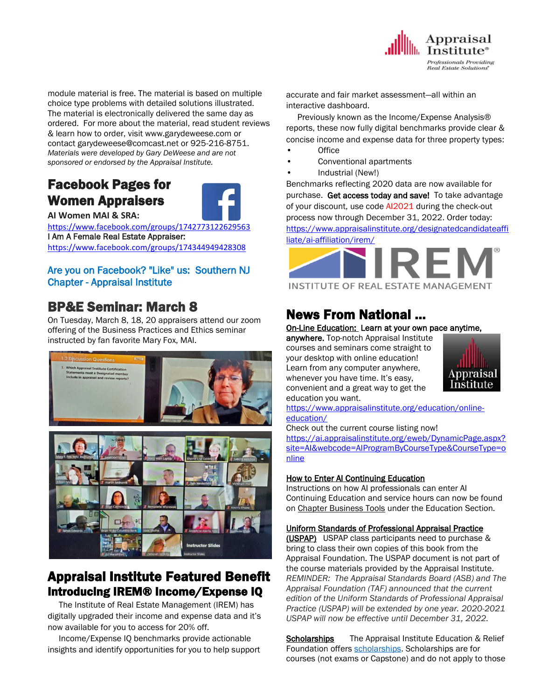

module material is free. The material is based on multiple choice type problems with detailed solutions illustrated. The material is electronically delivered the same day as ordered. For more about the material, read student reviews & learn how to order, visit www.garydeweese.com or contact garydeweese@comcast.net or 925-216-8751. *Materials were developed by Gary DeWeese and are not sponsored or endorsed by the Appraisal Institute.*

### Facebook Pages for Women Appraisers



**AI Women MAI & SRA:** 

<https://www.facebook.com/groups/1742773122629563> I Am A Female Real Estate Appraiser: <https://www.facebook.com/groups/174344949428308>

#### Are you on Facebook? "Like" us: Southern NJ Chapter - Appraisal Institute

### BP&E Seminar: March 8

On Tuesday, March 8, 18, 20 appraisers attend our zoom offering of the Business Practices and Ethics seminar instructed by fan favorite Mary Fox, MAI.





### Appraisal Institute Featured Benefit Introducing IREM® Income/Expense IQ

 The Institute of Real Estate Management (IREM) has digitally upgraded their income and expense data and it's now available for you to access for 20% off.

 Income/Expense IQ benchmarks provide actionable insights and identify opportunities for you to help support accurate and fair market assessment—all within an interactive dashboard.

 Previously known as the Income/Expense Analysis® reports, these now fully digital benchmarks provide clear & concise income and expense data for three property types:

- Office
- Conventional apartments
- Industrial (New!)

Benchmarks reflecting 2020 data are now available for purchase. Get access today and save! To take advantage of your discount, use code AI2021 during the check-out process now through December 31, 2022. Order today: [https://www.appraisalinstitute.org/designatedcandidateaffi](https://www.appraisalinstitute.org/designatedcandidateaffiliate/ai-affiliation/irem/) [liate/ai-affiliation/irem/](https://www.appraisalinstitute.org/designatedcandidateaffiliate/ai-affiliation/irem/) 



# News From National …

#### On-Line Education: Learn at your own pace anytime,

anywhere. Top-notch Appraisal Institute courses and seminars come straight to your desktop with online education! Learn from any computer anywhere, whenever you have time. It's easy, convenient and a great way to get the education you want.



[https://www.appraisalinstitute.org/education/online](https://www.appraisalinstitute.org/education/online-education/)[education/](https://www.appraisalinstitute.org/education/online-education/)

Check out the current course listing now! [https://ai.appraisalinstitute.org/eweb/DynamicPage.aspx?](https://ai.appraisalinstitute.org/eweb/DynamicPage.aspx?site=AI&webcode=AIProgramByCourseType&CourseType=online) [site=AI&webcode=AIProgramByCourseType&CourseType=o](https://ai.appraisalinstitute.org/eweb/DynamicPage.aspx?site=AI&webcode=AIProgramByCourseType&CourseType=online) [nline](https://ai.appraisalinstitute.org/eweb/DynamicPage.aspx?site=AI&webcode=AIProgramByCourseType&CourseType=online)

#### How to Enter AI Continuing Education

Instructions on how AI professionals can enter AI Continuing Education and service hours can now be found on Chapter [Business](https://na01.safelinks.protection.outlook.com/?url=http%3A%2F%2Fsend.appraisalinstitute.org%2Flink.cfm%3Fr%3DvwtD93oHHyUAMd-FHE_JHA~~%26pe%3D4MmaFaGhwdD8dMbFrjafX6pm9klP_iu-yqORdPE4VG-WrJ-wRCeWrc2URFPfOSZaL7N1fhaEyqB3ZkMiTCNo_A~~%26t%3D2G9Wb5eEYFUBShv0rvImtg~~&data=04%7C01%7C%7C820a3a1e342b435e0df708d9a2e23c12%7C84df9e7fe9f640afb435aaaaaaaaaaaa%7C1%7C0%7C637719914820402099%7CUnknown%7CTWFpbGZsb3d8eyJWIjoiMC4wLjAwMDAiLCJQIjoiV2luMzIiLCJBTiI6Ik1haWwiLCJXVCI6Mn0%3D%7C1000&sdata=jdWx48gRIuw3blEc5v6XPGnVupV4soXjSH%2B%2Bv59uqPo%3D&reserved=0) Tools under the Education Section.

#### Uniform Standards of Professional Appraisal Practice

(USPAP) USPAP class participants need to purchase & bring to class their own copies of this book from the Appraisal Foundation. The USPAP document is not part of the course materials provided by the Appraisal Institute. *REMINDER: The Appraisal Standards Board (ASB) and The Appraisal Foundation (TAF) announced that the current edition of the Uniform Standards of Professional Appraisal Practice (USPAP) will be extended by one year. 2020-2021 USPAP will now be effective until December 31, 2022.*

**Scholarships** The Appraisal Institute Education & Relief Foundation offers [scholarships.](http://send.appraisalinstitute.org/link.cfm?r=TyxXOooBFM-9kcaVyjABIA~~&pe=k_y06NsR9-tB3atEDYdXWLTTqBM_H3aeIPclU_7mx0sd29sU_T_sOiJTIa3747wAJXWGK_wLmsw-M82swC-Ijw~~&t=jouIQRRPlOfDkLqJe5AmNA~~) Scholarships are for courses (not exams or Capstone) and do not apply to those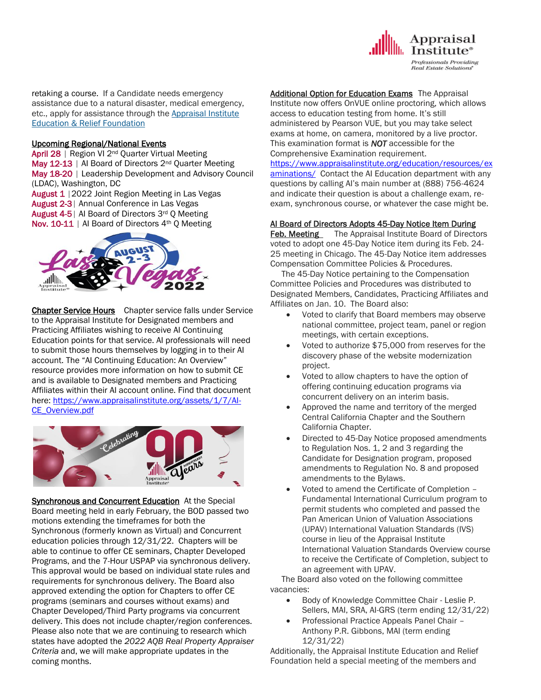

retaking a course. If a Candidate needs emergency assistance due to a natural disaster, medical emergency, etc., apply for assistance through the Appraisal Institute Education & Relief Foundation

#### Upcoming Regional/National Events

April 28 | Region VI 2<sup>nd</sup> Quarter Virtual Meeting May 12-13 | Al Board of Directors 2<sup>nd</sup> Quarter Meeting May 18-20 | Leadership Development and Advisory Council (LDAC), Washington, DC

August 1 | 2022 Joint Region Meeting in Las Vegas

August 2-3| Annual Conference in Las Vegas

August 4-5| AI Board of Directors 3rd Q Meeting

Nov. 10-11 | Al Board of Directors 4<sup>th</sup> Q Meeting



Chapter Service Hours Chapter service falls under Service to the Appraisal Institute for Designated members and Practicing Affiliates wishing to receive AI Continuing Education points for that service. AI professionals will need to submit those hours themselves by logging in to their AI account. The "AI Continuing Education: An Overview" resource provides more information on how to submit CE and is available to Designated members and Practicing Affiliates within their AI account online. Find that document here: [https://www.appraisalinstitute.org/assets/1/7/AI-](https://www.appraisalinstitute.org/assets/1/7/AI-CE_Overview.pdf)[CE\\_Overview.pdf](https://www.appraisalinstitute.org/assets/1/7/AI-CE_Overview.pdf)



Synchronous and Concurrent Education At the Special Board meeting held in early February, the BOD passed two motions extending the timeframes for both the Synchronous (formerly known as Virtual) and Concurrent education policies through 12/31/22. Chapters will be able to continue to offer CE seminars, Chapter Developed Programs, and the 7-Hour USPAP via synchronous delivery. This approval would be based on individual state rules and requirements for synchronous delivery. The Board also approved extending the option for Chapters to offer CE programs (seminars and courses without exams) and Chapter Developed/Third Party programs via concurrent delivery. This does not include chapter/region conferences. Please also note that we are continuing to research which states have adopted the *2022 AQB Real Property Appraiser Criteria* and, we will make appropriate updates in the coming months.

Additional Option for Education ExamsThe Appraisal Institute now offers OnVUE online proctoring, which allows access to education testing from home. It's still administered by Pearson VUE, but you may take select exams at home, on camera, monitored by a live proctor. This examination format is *NOT* accessible for the Comprehensive Examination requirement.

[https://www.appraisalinstitute.org/education/resources/ex](https://www.appraisalinstitute.org/education/resources/examinations/) [aminations/](https://www.appraisalinstitute.org/education/resources/examinations/) Contact the AI Education department with any questions by calling AI's main number at (888) 756-4624 and indicate their question is about a challenge exam, re-

exam, synchronous course, or whatever the case might be.

#### AI Board of Directors Adopts 45-Day Notice Item During

Feb. Meeting The Appraisal Institute Board of Directors voted to adopt one 45-Day Notice item during its Feb. 24- 25 meeting in Chicago. The 45-Day Notice item addresses Compensation Committee Policies & Procedures.

 The 45-Day Notice pertaining to the Compensation Committee Policies and Procedures was distributed to Designated Members, Candidates, Practicing Affiliates and Affiliates on Jan. 10. The Board also:

- Voted to clarify that Board members may observe national committee, project team, panel or region meetings, with certain exceptions.
- Voted to authorize \$75,000 from reserves for the discovery phase of the website modernization project.
- Voted to allow chapters to have the option of offering continuing education programs via concurrent delivery on an interim basis.
- Approved the name and territory of the merged Central California Chapter and the Southern California Chapter.
- Directed to 45-Day Notice proposed amendments to Regulation Nos. 1, 2 and 3 regarding the Candidate for Designation program, proposed amendments to Regulation No. 8 and proposed amendments to the Bylaws.
- Voted to amend the Certificate of Completion Fundamental International Curriculum program to permit students who completed and passed the Pan American Union of Valuation Associations (UPAV) International Valuation Standards (IVS) course in lieu of the Appraisal Institute International Valuation Standards Overview course to receive the Certificate of Completion, subject to an agreement with UPAV.

 The Board also voted on the following committee vacancies:

- Body of Knowledge Committee Chair Leslie P. Sellers, MAI, SRA, AI-GRS (term ending 12/31/22)
- Professional Practice Appeals Panel Chair Anthony P.R. Gibbons, MAI (term ending 12/31/22)

Additionally, the Appraisal Institute Education and Relief Foundation held a special meeting of the members and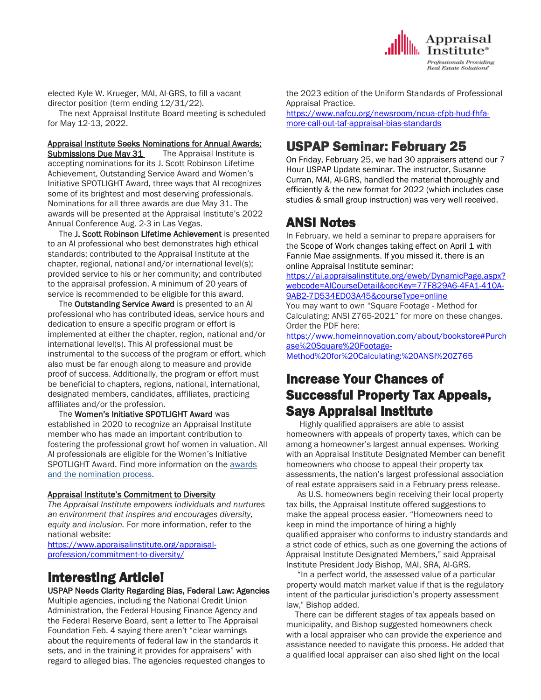elected Kyle W. Krueger, MAI, AI-GRS, to fill a vacant director position (term ending 12/31/22).

 The next Appraisal Institute Board meeting is scheduled for May 12-13, 2022.

Appraisal Institute Seeks Nominations for Annual Awards; **Submissions Due May 31** The Appraisal Institute is accepting nominations for its J. Scott Robinson Lifetime Achievement, Outstanding Service Award and Women's Initiative SPOTLIGHT Award, three ways that AI recognizes some of its brightest and most deserving professionals. Nominations for all three awards are due May 31. The awards will be presented at the Appraisal Institute's 2022 Annual Conference Aug. 2-3 in Las Vegas.

 The J. Scott Robinson Lifetime Achievement is presented to an AI professional who best demonstrates high ethical standards; contributed to the Appraisal Institute at the chapter, regional, national and/or international level(s); provided service to his or her community; and contributed to the appraisal profession. A minimum of 20 years of service is recommended to be eligible for this award.

 The Outstanding Service Award is presented to an AI professional who has contributed ideas, service hours and dedication to ensure a specific program or effort is implemented at either the chapter, region, national and/or international level(s). This AI professional must be instrumental to the success of the program or effort, which also must be far enough along to measure and provide proof of success. Additionally, the program or effort must be beneficial to chapters, regions, national, international, designated members, candidates, affiliates, practicing affiliates and/or the profession.

 The Women's Initiative SPOTLIGHT Award was established in 2020 to recognize an Appraisal Institute member who has made an important contribution to fostering the professional growt hof women in valuation. All AI professionals are eligible for the Women's Initiative SPOTLIGHT Award. Find more information on the [awards](https://www.appraisalinstitute.org/awards-recognition/)  [and the nomination process.](https://www.appraisalinstitute.org/awards-recognition/)

#### Appraisal Institute's Commitment to Diversity

*The Appraisal Institute empowers individuals and nurtures an environment that inspires and encourages diversity, equity and inclusion.* For more information, refer to the national website:

[https://www.appraisalinstitute.org/appraisal](https://www.appraisalinstitute.org/appraisal-profession/commitment-to-diversity/)[profession/commitment-to-diversity/](https://www.appraisalinstitute.org/appraisal-profession/commitment-to-diversity/) 

### Interesting Article!

USPAP Needs Clarity Regarding Bias, Federal Law: Agencies

Multiple agencies, including the National Credit Union Administration, the Federal Housing Finance Agency and the Federal Reserve Board, sent a letter to The Appraisal Foundation Feb. 4 saying there aren't "clear warnings about the requirements of federal law in the standards it sets, and in the training it provides for appraisers" with regard to alleged bias. The agencies requested changes to the 2023 edition of the Uniform Standards of Professional Appraisal Practice.

Appraisal **L** Institute<sup>®</sup> **Professionals Providing Real Estate Solutions** 

[https://www.nafcu.org/newsroom/ncua-cfpb-hud-fhfa](https://www.nafcu.org/newsroom/ncua-cfpb-hud-fhfa-more-call-out-taf-appraisal-bias-standards)[more-call-out-taf-appraisal-bias-standards](https://www.nafcu.org/newsroom/ncua-cfpb-hud-fhfa-more-call-out-taf-appraisal-bias-standards)

### USPAP Seminar: February 25

On Friday, February 25, we had 30 appraisers attend our 7 Hour USPAP Update seminar. The instructor, Susanne Curran, MAI, AI-GRS, handled the material thoroughly and efficiently & the new format for 2022 (which includes case studies & small group instruction) was very well received.

### ANSI Notes

In February, we held a seminar to prepare appraisers for the Scope of Work changes taking effect on April 1 with Fannie Mae assignments. If you missed it, there is an online Appraisal Institute seminar:

[https://ai.appraisalinstitute.org/eweb/DynamicPage.aspx?](https://ai.appraisalinstitute.org/eweb/DynamicPage.aspx?webcode=AICourseDetail&cecKey=77F829A6-4FA1-410A-9AB2-7D534ED03A45&courseType=online) [webcode=AICourseDetail&cecKey=77F829A6-4FA1-410A-](https://ai.appraisalinstitute.org/eweb/DynamicPage.aspx?webcode=AICourseDetail&cecKey=77F829A6-4FA1-410A-9AB2-7D534ED03A45&courseType=online)[9AB2-7D534ED03A45&courseType=online](https://ai.appraisalinstitute.org/eweb/DynamicPage.aspx?webcode=AICourseDetail&cecKey=77F829A6-4FA1-410A-9AB2-7D534ED03A45&courseType=online)

You may want to own "Square Footage - Method for Calculating: ANSI Z765-2021" for more on these changes. Order the PDF here:

[https://www.homeinnovation.com/about/bookstore#Purch](https://www.homeinnovation.com/about/bookstore#Purchase%20Square%20Footage-Method%20for%20Calculating:%20ANSI%20Z765) [ase%20Square%20Footage-](https://www.homeinnovation.com/about/bookstore#Purchase%20Square%20Footage-Method%20for%20Calculating:%20ANSI%20Z765)

[Method%20for%20Calculating:%20ANSI%20Z765](https://www.homeinnovation.com/about/bookstore#Purchase%20Square%20Footage-Method%20for%20Calculating:%20ANSI%20Z765)

### Increase Your Chances of Successful Property Tax Appeals, Says Appraisal Institute

 Highly qualified appraisers are able to assist homeowners with appeals of property taxes, which can be among a homeowner's largest annual expenses. Working with an Appraisal Institute Designated Member can benefit homeowners who choose to appeal their property tax assessments, the nation's largest professional association of real estate appraisers said in a February press release.

 As U.S. homeowners begin receiving their local property tax bills, the Appraisal Institute offered suggestions to make the appeal process easier. "Homeowners need to keep in mind the importance of hiring a highly qualified appraiser who conforms to industry standards and a strict code of ethics, such as one governing the actions of Appraisal Institute Designated Members," said Appraisal Institute President Jody Bishop, MAI, SRA, AI-GRS.

 "In a perfect world, the assessed value of a particular property would match market value if that is the regulatory intent of the particular jurisdiction's property assessment law," Bishop added.

 There can be different stages of tax appeals based on municipality, and Bishop suggested homeowners check with a local appraiser who can provide the experience and assistance needed to navigate this process. He added that a qualified local appraiser can also shed light on the local